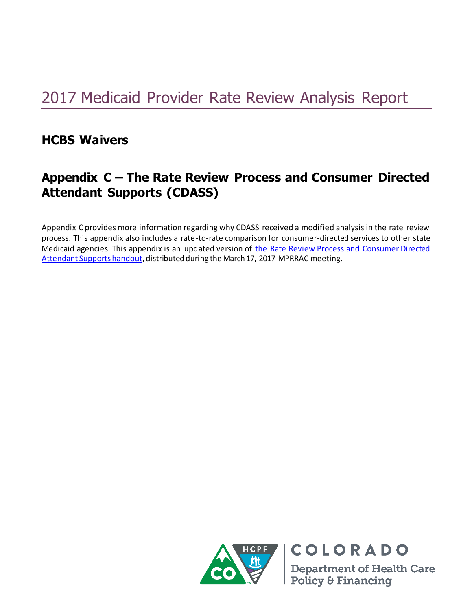## 2017 Medicaid Provider Rate Review Analysis Report

#### **HCBS Waivers**

### **Appendix C – The Rate Review Process and Consumer Directed Attendant Supports (CDASS)**

Appendix C provides more information regarding why CDASS received a modified analysis in the rate review process. This appendix also includes a rate-to-rate comparison for consumer-directed services to other state Medicaid agencies. This appendix is an updated version of [the Rate Review Process and Consumer Directed](https://www.colorado.gov/pacific/sites/default/files/Rate%20Review%20Process%20and%20Consumer%20Directed%20Attendant%20Support%20Services%20March%202017.pdf)  [Attendant Supports handout,](https://www.colorado.gov/pacific/sites/default/files/Rate%20Review%20Process%20and%20Consumer%20Directed%20Attendant%20Support%20Services%20March%202017.pdf) distributed during the March 17, 2017 MPRRAC meeting.



**Department of Health Care** Policy & Financing

COLORADO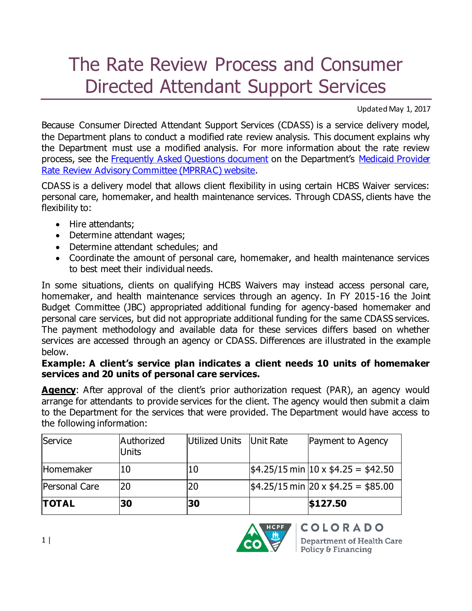# The Rate Review Process and Consumer Directed Attendant Support Services

Updated May 1, 2017

Because Consumer Directed Attendant Support Services (CDASS) is a service delivery model, the Department plans to conduct a modified rate review analysis. This document explains why the Department must use a modified analysis. For more information about the rate review process, see the [Frequently Asked Questions document](https://www.colorado.gov/pacific/sites/default/files/Rate%20Review%20Process%20FAQs.pdf) on the Department's [Medicaid Provider](https://www.colorado.gov/pacific/hcpf/medicaid-provider-rate-review-advisory-committee)  [Rate Review Advisory Committee \(MPRRAC\) website.](https://www.colorado.gov/pacific/hcpf/medicaid-provider-rate-review-advisory-committee)

CDASS is a delivery model that allows client flexibility in using certain HCBS Waiver services: personal care, homemaker, and health maintenance services. Through CDASS, clients have the flexibility to:

- Hire attendants;
- Determine attendant wages;
- Determine attendant schedules: and
- Coordinate the amount of personal care, homemaker, and health maintenance services to best meet their individual needs.

In some situations, clients on qualifying HCBS Waivers may instead access personal care, homemaker, and health maintenance services through an agency. In FY 2015-16 the Joint Budget Committee (JBC) appropriated additional funding for agency-based homemaker and personal care services, but did not appropriate additional funding for the same CDASS services. The payment methodology and available data for these services differs based on whether services are accessed through an agency or CDASS. Differences are illustrated in the example below.

#### **Example: A client's service plan indicates a client needs 10 units of homemaker services and 20 units of personal care services.**

**Agency**: After approval of the client's prior authorization request (PAR), an agency would arrange for attendants to provide services for the client. The agency would then submit a claim to the Department for the services that were provided. The Department would have access to the following information:

| Service       | Authorized<br><b>Units</b> | Utilized Units | Unit Rate | Payment to Agency                                              |
|---------------|----------------------------|----------------|-----------|----------------------------------------------------------------|
| Homemaker     | 10                         | 10             |           | $\frac{1}{2}4.25/15$ min $\frac{10 \times $4.25 = $42.50}$     |
| Personal Care | 20                         | 20             |           | $\frac{1}{2}4.25/15$ min $\frac{20 \times $4.25}{4}$ = \$85.00 |
| <b>TOTAL</b>  | 30                         | 30             |           | \$127.50                                                       |

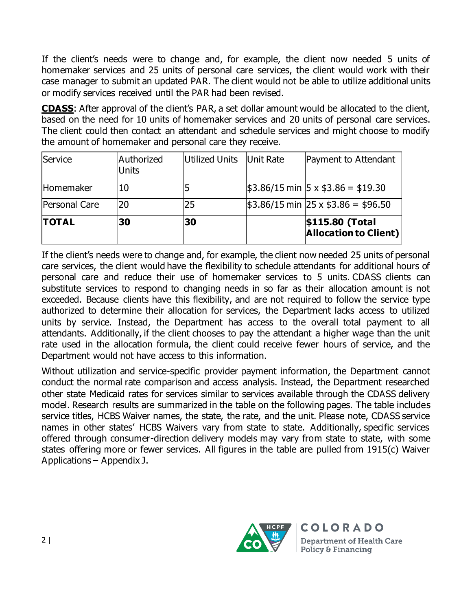If the client's needs were to change and, for example, the client now needed 5 units of homemaker services and 25 units of personal care services, the client would work with their case manager to submit an updated PAR. The client would not be able to utilize additional units or modify services received until the PAR had been revised.

**CDASS**: After approval of the client's PAR, a set dollar amount would be allocated to the client, based on the need for 10 units of homemaker services and 20 units of personal care services. The client could then contact an attendant and schedule services and might choose to modify the amount of homemaker and personal care they receive.

| Service       | Authorized<br><b>Units</b> | Utilized Units | Unit Rate | Payment to Attendant                                         |
|---------------|----------------------------|----------------|-----------|--------------------------------------------------------------|
| Homemaker     | 10                         |                |           | $\frac{1}{2}$ \$3.86/15 min $\frac{1}{5}$ x \$3.86 = \$19.30 |
| Personal Care | 20                         | 25             |           | $\frac{1}{2}$ \$3.86/15 min 25 x \$3.86 = \$96.50            |
| <b>TOTAL</b>  | 30                         | 30             |           | \$115.80 (Total<br><b>Allocation to Client)</b>              |

If the client's needs were to change and, for example, the client now needed 25 units of personal care services, the client would have the flexibility to schedule attendants for additional hours of personal care and reduce their use of homemaker services to 5 units. CDASS clients can substitute services to respond to changing needs in so far as their allocation amount is not exceeded. Because clients have this flexibility, and are not required to follow the service type authorized to determine their allocation for services, the Department lacks access to utilized units by service. Instead, the Department has access to the overall total payment to all attendants. Additionally, if the client chooses to pay the attendant a higher wage than the unit rate used in the allocation formula, the client could receive fewer hours of service, and the Department would not have access to this information.

Without utilization and service-specific provider payment information, the Department cannot conduct the normal rate comparison and access analysis. Instead, the Department researched other state Medicaid rates for services similar to services available through the CDASS delivery model. Research results are summarized in the table on the following pages. The table includes service titles, HCBS Waiver names, the state, the rate, and the unit. Please note, CDASS service names in other states' HCBS Waivers vary from state to state. Additionally, specific services offered through consumer-direction delivery models may vary from state to state, with some states offering more or fewer services. All figures in the table are pulled from 1915(c) Waiver Applications – Appendix J.



COLORADO **Department of Health Care** Policy & Financing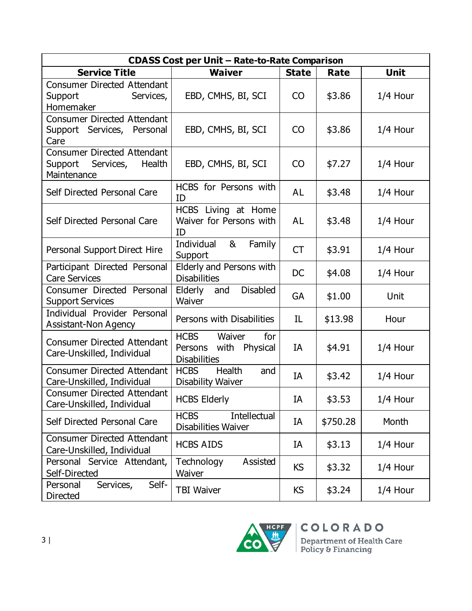| <b>CDASS Cost per Unit - Rate-to-Rate Comparison</b>                                |                                                                              |              |          |             |  |
|-------------------------------------------------------------------------------------|------------------------------------------------------------------------------|--------------|----------|-------------|--|
| <b>Service Title</b>                                                                | <b>Waiver</b>                                                                | <b>State</b> | Rate     | <b>Unit</b> |  |
| <b>Consumer Directed Attendant</b><br>Support<br>Services,<br>Homemaker             | EBD, CMHS, BI, SCI                                                           | CO           | \$3.86   | $1/4$ Hour  |  |
| <b>Consumer Directed Attendant</b><br>Support Services, Personal<br>Care            | EBD, CMHS, BI, SCI                                                           | CO           | \$3.86   | $1/4$ Hour  |  |
| <b>Consumer Directed Attendant</b><br>Services,<br>Health<br>Support<br>Maintenance | EBD, CMHS, BI, SCI                                                           | CO           | \$7.27   | 1/4 Hour    |  |
| Self Directed Personal Care                                                         | HCBS for Persons with<br>ID                                                  | AL           | \$3.48   | $1/4$ Hour  |  |
| Self Directed Personal Care                                                         | HCBS Living at Home<br>Waiver for Persons with<br>ID                         | AL           | \$3.48   | $1/4$ Hour  |  |
| Personal Support Direct Hire                                                        | Individual<br>&<br>Family<br>Support                                         | <b>CT</b>    | \$3.91   | 1/4 Hour    |  |
| Participant Directed Personal<br><b>Care Services</b>                               | Elderly and Persons with<br><b>Disabilities</b>                              | <b>DC</b>    | \$4.08   | $1/4$ Hour  |  |
| Consumer Directed Personal<br><b>Support Services</b>                               | <b>Disabled</b><br>Elderly<br>and<br>Waiver                                  | GA           | \$1.00   | Unit        |  |
| Individual Provider Personal<br>Assistant-Non Agency                                | Persons with Disabilities                                                    | IL           | \$13.98  | Hour        |  |
| <b>Consumer Directed Attendant</b><br>Care-Unskilled, Individual                    | <b>HCBS</b><br>Waiver<br>for<br>Persons with Physical<br><b>Disabilities</b> | IA           | \$4.91   | $1/4$ Hour  |  |
| <b>Consumer Directed Attendant</b><br>Care-Unskilled, Individual                    | <b>HCBS</b><br><b>Health</b><br>and<br><b>Disability Waiver</b>              | IA           | \$3.42   | 1/4 Hour    |  |
| <b>Consumer Directed Attendant</b><br>Care-Unskilled, Individual                    | <b>HCBS Elderly</b>                                                          | IA           | \$3.53   | $1/4$ Hour  |  |
| Self Directed Personal Care                                                         | <b>HCBS</b><br>Intellectual<br><b>Disabilities Waiver</b>                    | IA           | \$750.28 | Month       |  |
| <b>Consumer Directed Attendant</b><br>Care-Unskilled, Individual                    | <b>HCBS AIDS</b>                                                             | IA           | \$3.13   | $1/4$ Hour  |  |
| Personal Service Attendant,<br>Self-Directed                                        | Technology<br>Assisted<br>Waiver                                             | <b>KS</b>    | \$3.32   | $1/4$ Hour  |  |
| Personal<br>Services,<br>Self-<br>Directed                                          | <b>TBI Waiver</b>                                                            | <b>KS</b>    | \$3.24   | $1/4$ Hour  |  |



ECOLORADO Department of Health Care<br>Policy & Financing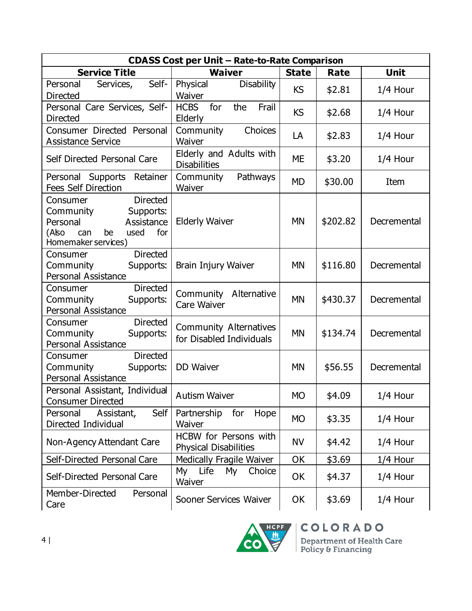| <b>CDASS Cost per Unit - Rate-to-Rate Comparison</b>                                                                                        |                                                           |              |             |             |  |
|---------------------------------------------------------------------------------------------------------------------------------------------|-----------------------------------------------------------|--------------|-------------|-------------|--|
| <b>Service Title</b>                                                                                                                        | <b>Waiver</b>                                             | <b>State</b> | <b>Rate</b> | <b>Unit</b> |  |
| Self-<br>Personal<br>Services,<br><b>Directed</b>                                                                                           | <b>Disability</b><br>Physical<br>Waiver                   | <b>KS</b>    | \$2.81      | 1/4 Hour    |  |
| Personal Care Services, Self-<br><b>Directed</b>                                                                                            | for<br>Frail<br><b>HCBS</b><br>the<br>Elderly             | <b>KS</b>    | \$2.68      | $1/4$ Hour  |  |
| Consumer Directed Personal<br><b>Assistance Service</b>                                                                                     | Community<br>Choices<br>Waiver                            | LA           | \$2.83      | 1/4 Hour    |  |
| Self Directed Personal Care                                                                                                                 | Elderly and Adults with<br><b>Disabilities</b>            | <b>ME</b>    | \$3.20      | $1/4$ Hour  |  |
| Personal Supports Retainer<br><b>Fees Self Direction</b>                                                                                    | Pathways<br>Community<br>Waiver                           | <b>MD</b>    | \$30.00     | Item        |  |
| <b>Directed</b><br>Consumer<br>Community<br>Supports:<br>Personal<br>Assistance<br>(Also<br>for<br>be<br>used<br>can<br>Homemaker services) | <b>Elderly Waiver</b>                                     | <b>MN</b>    | \$202.82    | Decremental |  |
| <b>Directed</b><br>Consumer<br>Community<br>Supports:<br>Personal Assistance                                                                | Brain Injury Waiver                                       | MN           | \$116.80    | Decremental |  |
| <b>Directed</b><br>Consumer<br>Community<br>Supports:<br><b>Personal Assistance</b>                                                         | Alternative<br>Community<br><b>Care Waiver</b>            | <b>MN</b>    | \$430.37    | Decremental |  |
| <b>Directed</b><br>Consumer<br>Community<br>Supports:<br>Personal Assistance                                                                | <b>Community Alternatives</b><br>for Disabled Individuals | <b>MN</b>    | \$134.74    | Decremental |  |
| <b>Directed</b><br>Consumer<br>Community<br>Supports:<br><b>Personal Assistance</b>                                                         | DD Waiver                                                 | MN           | \$56.55     | Decremental |  |
| Personal Assistant, Individual<br>Consumer Directed                                                                                         | <b>Autism Waiver</b>                                      | <b>MO</b>    | \$4.09      | 1/4 Hour    |  |
| Self<br>Personal<br>Assistant,<br>Directed Individual                                                                                       | Partnership<br>for<br>Hope<br>Waiver                      | <b>MO</b>    | \$3.35      | 1/4 Hour    |  |
| Non-Agency Attendant Care                                                                                                                   | HCBW for Persons with<br><b>Physical Disabilities</b>     | NV           | \$4.42      | 1/4 Hour    |  |
| Self-Directed Personal Care                                                                                                                 | <b>Medically Fragile Waiver</b>                           | OK           | \$3.69      | $1/4$ Hour  |  |
| Self-Directed Personal Care                                                                                                                 | Life<br>My<br>My<br>Choice<br>Waiver                      | OK           | \$4.37      | $1/4$ Hour  |  |
| Member-Directed<br>Personal<br>Care                                                                                                         | Sooner Services Waiver                                    | <b>OK</b>    | \$3.69      | $1/4$ Hour  |  |